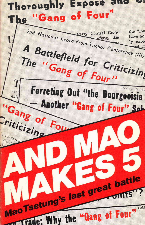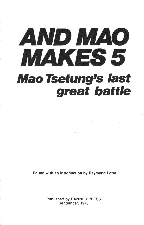# AND MAO MAKES 5 Mao Tsetung's last great battle

Edited with an lntroduction by Raymond Lotta

Published by BANNER PRESS September, 1978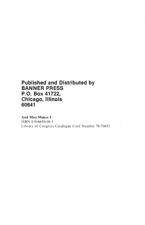# Published and Distributed by BANNER PRESS P.O. Box 41722, Chicago, lllinois 60641

And Mao Makes 5 ISBN 0-9r6650-08-l Library of Congress Catalogue Card Number 78-70431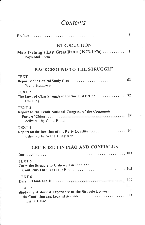# **Contents**

|                                                                                                         | Ť  |
|---------------------------------------------------------------------------------------------------------|----|
| <b>INTRODUCTION</b>                                                                                     |    |
| Mao Tsetung's Last Great Battle (1973-1976)  1<br>Raymond Lotta                                         |    |
| <b>BACKGROUND TO THE STRUGGLE</b>                                                                       |    |
| TEXT <sub>1</sub><br>Wang Hung-wen                                                                      |    |
| TEXT <sub>2</sub><br>The Laws of Class Struggle in the Socialist Period  72<br>Chi Ping                 |    |
| TEXT <sub>3</sub><br>Report to the Tenth National Congress of the Communist<br>delivered by Chou En-lai |    |
| TEXT <sub>4</sub><br>Report on the Revision of the Party Constitution<br>delivered by Wang Hung-wen     | 94 |
| <b>CRITICIZE LIN PIAO AND CONFUCIUS</b>                                                                 |    |
|                                                                                                         |    |
| TEXT <sub>5</sub><br>Carry the Struggle to Criticize Lin Piao and                                       |    |
| TEXT <sub>6</sub>                                                                                       |    |
| TEXT <sub>7</sub><br>Study the Historical Experience of the Struggle Between<br>Liang Hsiao             |    |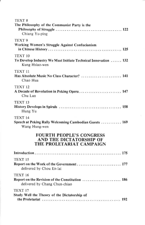| TEXT <sub>8</sub><br>The Philosophy of the Communist Party is the<br>Chiang Yu-ping                    |
|--------------------------------------------------------------------------------------------------------|
| TEXT <sub>9</sub><br>Working Women's Struggle Against Confucianism                                     |
| TEXT <sub>10</sub><br>To Develop Industry We Must Initiate Technical Innovation  132<br>Kung Hsiao-wen |
| TEXT 11<br>Has Absolute Music No Class Character?  141<br>Chao Hua                                     |
| TEXT <sub>12</sub><br>A Decade of Revolution in Peking Opera  147<br>Chu Lan                           |
| TEXT <sub>13</sub><br>Hung Yu                                                                          |
| TEXT <sub>14</sub><br>Speech at Peking Rally Welcoming Cambodian Guests  169<br>Wang Hung-wen          |
| <b>FOURTH PEOPLE'S CONGRESS</b><br><b>AND THE DICTATORSHIP OF</b><br>THE PROLETARIAT CAMPAIGN          |
|                                                                                                        |
| TEXT <sub>15</sub><br>Report on the Work of the Government  177<br>delivered by Chou En-lai            |
| TEXT <sub>16</sub><br>Report on the Revision of the Constitution  186<br>delivered by Chang Chun-chiao |
| TEXT <sub>17</sub><br>Study Well the Theory of the Dictatorship of                                     |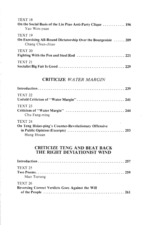| TEXT <sub>18</sub><br>On the Social Basis of the Lin Piao Anti-Party Clique  196<br>Yao Wen-yuan         |
|----------------------------------------------------------------------------------------------------------|
| TEXT <sub>19</sub><br>On Exercising All-Round Dictatorship Over the Bourgeoisie  209<br>Chang Chun-chiao |
| TEXT <sub>20</sub>                                                                                       |
| TEXT <sub>21</sub>                                                                                       |

### CRITICIZE WATER MARGIN

| TEXT <sub>22</sub>                                                                              |
|-------------------------------------------------------------------------------------------------|
| TEXT <sub>23</sub><br>Chu Fang-ming                                                             |
| TEXT <sub>24</sub><br><b>On Teng Hsiao-ping's Counter-Revolutionary Offensive</b><br>Hung Hsuan |

#### CRITICIZE TENG AND BEAT BACK THE RIGHT DEVIATIONIST WIND

| TEXT <sub>25</sub><br>Mao Tsetung                                         |  |
|---------------------------------------------------------------------------|--|
| <b>TEXT 26</b><br><b>Reversing Correct Verdicts Goes Against the Will</b> |  |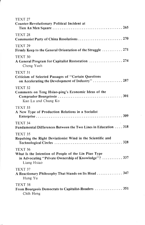| TEXT <sub>27</sub>                                                                                                                                |
|---------------------------------------------------------------------------------------------------------------------------------------------------|
| Counter-Revolutionary Political Incident at                                                                                                       |
| TEXT <sub>28</sub><br>Communist Party of China Resolutions  270                                                                                   |
| TEXT <sub>29</sub><br>Firmly Keep to the General Orientation of the Struggle  271                                                                 |
| TEXT <sub>30</sub><br>A General Program for Capitalist Restoration  274<br>Cheng Yueh                                                             |
| TEXT <sub>31</sub><br><b>Criticism of Selected Passages of "Certain Questions</b><br>on Accelerating the Development of Industry" 287             |
| TEXT <sub>32</sub><br>Comments on Teng Hsiao-ping's Economic Ideas of the<br>Kao Lu and Chang Ko                                                  |
| TEXT <sub>33</sub><br>A New Type of Production Relations in a Socialist                                                                           |
| TEXT <sub>34</sub><br>Fundamental Differences Between the Two Lines in Education  318                                                             |
| TEXT <sub>35</sub><br>Repulsing the Right Deviationist Wind in the Scientific and                                                                 |
| TEXT <sub>36</sub><br>What Is the Intention of People of the Lin Piao Type<br>in Advocating "Private Ownership of Knowledge"?  337<br>Liang Hsiao |
| TEXT <sub>37</sub><br>A Reactionary Philosophy That Stands on Its Head  347<br>Hung Yu                                                            |
| TEXT 38<br>From Bourgeois Democrats to Capitalist-Roaders  351<br>Chih Heng                                                                       |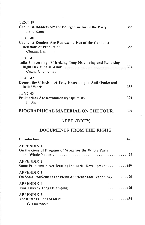TEXT 39

| Capitalist-Roaders Are the Bourgeoisie Inside the Party  358<br>Fang Kang                             |
|-------------------------------------------------------------------------------------------------------|
| TEXT <sub>40</sub><br>Capitalist-Roaders Are Representatives of the Capitalist<br>Chuang Lan          |
| TEXT <sub>41</sub><br>Talks Concerning "Criticizing Teng Hsiao-ping and Repulsing<br>Chang Chun-chiao |
| TEXT <sub>42</sub><br>Deepen the Criticism of Teng Hsiao-ping in Anti-Quake and                       |
| TEXT <sub>43</sub><br>Pi Sheng                                                                        |
| <b>BIOGRAPHICAL MATERIAL ON THE FOUR 399</b>                                                          |

#### APPENDICES

## DOCUMENTS FROM THE RIGHT

| <b>APPENDIX 1</b><br>On the General Program of Work for the Whole Party                                                   |
|---------------------------------------------------------------------------------------------------------------------------|
| <b>APPENDIX 2</b><br>Some Problems in Accelerating Industrial Development  449                                            |
| <b>APPENDIX 3</b><br>On Some Problems in the Fields of Science and Technology $\dots \dots 470$                           |
| <b>APPENDIX 4</b><br>Two Talks by Teng Hsiao-ping $\ldots \ldots \ldots \ldots \ldots \ldots \ldots \ldots \ldots \ldots$ |
| <b>APPENDIX 5</b><br>Y. Semyonov                                                                                          |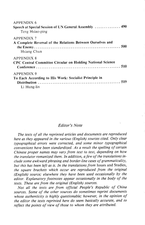| <b>APPENDIX 6</b><br>Speech at Special Session of UN General Assembly  490<br>Teng Hsiao-ping  |  |
|------------------------------------------------------------------------------------------------|--|
| <b>APPENDIX 7</b><br>A Complete Reversal of the Relations Between Ourselves and<br>Hsiang Chun |  |
| <b>APPENDIX 8</b><br><b>CPC Central Committee Circular on Holding National Science</b>         |  |
| <b>APPENDIX 9</b><br>To Each According to His Work: Socialist Principle in<br>Li Hung-lin      |  |

#### Editor's Note

The texts of all the reprinted articles and documents are reproduced here as they appeared in the various (English) sources cited. Only clear typographical errors were corrected, ond some minor typographical conventions have been standardized. As a result the spelling of certain Chinese proper names may vary from text to text, depending on how the translator romanized them. In addition, a few of the translations include some awkward phrasing and border-line coses of grammoticality, but this has been left as is. In the translations from Issues and Studies, the square brackets which occur are reproduced from the original (English) source; elsewhere they have been used occasionally by the editor. Explanatory footnotes appear occasionally in the body of the texts. These are from the original (English) sources.

Not all the texts are from official People's Republic of China sources. Some of the other sources do sometimes reprint documents whose authenticity is highly questionable; however, in the opinion of the editor the texts reprinted here do seem basicolly accurate, and to reflect the points of view of those to whom they are attributed.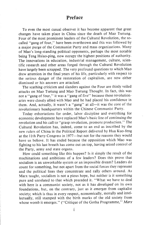### Preface

To even the most casual observer it has become apparent that great changes have taken place in China since the death of Mao Tsetung. Four of the most prominent leaders of the Cultural Revolution, the socalled "gang of four," have been overthrown and this was followed by a major purge of the Communist Party and mass organizations. Many of Mao's long-standing political opponents, perhaps the most notable being Teng Hsiao-ping, now occupy the highest positions of authority. The innovations in education, industrial management, culture, scientific research and other areas forged through the Cultural Revolution have largely been scrapped. The very profound questions to which Mao drew attention in the final years of his life, particularly with respect to the serious danger of the restoration of capitalism, are now either dismissed or his answers are attacked.

The scathing criticism and slanders against the Four are thinly veiled attacks on Mao Tsetung and Mao Tsetung Thought. In fact, this was not a "gang of four," it was a "gang of five" because these revolutionaries were closely allied with Mao and he had placed his confidence in them. And, actually, it wasn't a "gang" at all-it was the core of the revolutionary headquarters within the Chinese Communist Party.

Today exhortations for order, labor discipline and everything for economic development have replaced Mao's basic line of continuing the revolution and his call to "grasp revolution, promote production." The Cultural Revolution has, indeed, come to an end as inscribed by the new rulers of China in the Political Report delivered by Hua Kuo-feng at the 11th Party Congress in 1977-but not for the reasons they would have us believe. It has ended because the opposition which Mao was fighting to his last breath has come out on top, having seized control of the Party, army and state organs.

How could something like this happen? Is it simply the result of the machinations and ambitions of a few leaders? Does this prove that socialism is an unworkable system or an impossible dream? Leaders do count for something, but not apart from the social forces they represent and the political lines they concentrate and rally others around. As Marx taught, socialism is not a pious hope, but neither is it something pure and unrelated to that which preceded it. "What we have to deal with here is a communist society, not as it has *developed* on its own foundations, but, on the contrary, just as it emerges from capitalist society; which is thus in every respect, economically, morally and intel-Iectually, still stamped with the birth marks of the old society from whose womb it emerges." ("Critique of the Gotha Programme," Marx

i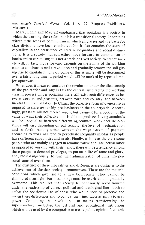and Engels Selected Works, Vol. 3, p. 17, Progress Publishers, Moscow.)

Marx, Lenin and Mao all emphasized that socialism is a society in which the working class rules, but it is a transitional society. It contains within it the seeds of communism in which all classes and the basis for class divisions have been eliminated, but it also contains the scars of capitalism in the persistence of certain inequalities and social distinctions. It is a society that can either move forward to communism or backward to capitalism; it is not a static or fixed society. Whether society will, in fact, move forward depends on the ability of the working class to continue to make revolution and gradually remove the soil giving rise to capitalism. The outcome of this struggle will be determined over a fairly long time, a period which will be marked by repeated major upheavals.

What does it mean to continue the revolution under the dictatorship of the proletariat and why is this the central issue facing the working class in power? Under socialism there still exist such differences as between workers and peasants, between town and country, and between mental and manual labor. In China, the collective form of ownership as opposed to state ownership predominates in the countryside. Accordingly, peasants will not receive wages, but payment for a portion of the value of what their collective unit is able to produce. Living standards will be unequal as between different agricultural units because crop yields will vary depending on soil fertility, the level of mechanization and so forth. Among urban workers the wage system of payment according to work will tend to perpetuate inequality insofar as people have different capabilities and needs. Finally, as long as there are some people who are mainly engaged in administrative and intellectual labor as opposed to working with their hands, there will be a tendency among these people to demand privileges, to pursue a life of fame and glory, and, most dangerously, to turn their administration of units into personal control over them.

The existence of these inequalities and differences are obstacles to the achievement of classless society-communism. These are the material conditions which give rise to a new bourgeoisie. They cannot be eliminated overnight, but these things must be restricted and gradually overcome. This requires that society be continually revolutionized under the leadership of correct political and ideological line-both to defeat the revisionist line of those who would seek to preserve and widen these differences and to combat their inevitable attempts to grab power. Continuing the revolution also means transforming the superstructure, including the cultural and educational institutions which will be used by the bourgeoisie to create public opinion favorable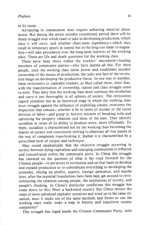#### to its cause.

Advancing to communism does require achieving material abundance. But during the entire socialist transitional period there will be sharp struggle over which road to take in developing production, which class it will serve, and whether short-term expediency-which may result in temporary spurts in output but in the long-run leads to stagnation-will take precedence over the long-term interests of the working class. These are life and death questions for the working class.

There have been those within the workers' movement-leading members of communist parties-who have denied all this. For these people, once the working class seizes power and establishes socialist ownership of the means of production, the tasks and fate of the revolution hinge on developing the productive forces. In one way or another, these revisionists or capitalist-roaders, as Mao called them, insist that, with the transformation of ownership, classes and class struggle cease to exist. They deny that the working class must continue the revolution and carry it out thoroughly in all spheres of society. The revisionists regard socialism not as an historical stage in which the working class must struggle against the influence of exploiting classes, overcome the disparities that remain-whether it be in terms of income or the social division of labor-and grasp its historic mission of breaking with and uprooting the property relations and ideas of the past. They identify socialism in terms of its ability to produce more, more efficiently. To them, socialism is characterized not by the working class becoming the master of society and consciously striving to eliminate all that stands in the way of completely transforming it. Rather it is characterized by <sup>a</sup> prescribed level of output and technique.

Mao stated emphatically that the objective struggle occurring in society between dying capitalism and emerging communism is reflected and concentrated within the communist party. In China this struggle has centered on the question of what is the road forward for the Chinese people-to persevere in revolution and on that basis to develop and expand production or to subordinate everything to developing the economy, relying on profits, experts, foreign assistance, and maybe later, after the material foundations have been laid, get around to revolutionizing the relations among people, the institutions of society, and people's thinking. In China's particular conditions this struggle has come down to this: Must a backward country like China retrace the steps of more advanced capitalist countries and wind up in the same situation, must it make use of the same methods and forms or can the working class really make a leap in history and transform society completely?

This struggle has raged inside the Chinese Communist Party, with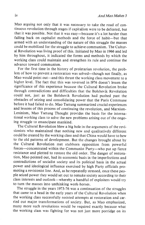Mao arguing not only that it was necessary to take the road of continuous revolution through stages if capitalism were to be defeated, but that it was possible. Not that it was easy-because it's a lot harder than falling back on capitalist methods and the force of habit—but that armed with an understanding of the nature of this struggle the masses could be mobilized for the struggle to achieve communism. The Cultural Revolution was living proof of this. Initiated by Mao in 1966 and led by him throughout, it indicated the forms and methods by which the working class could maintain and strengthen its rule and continue the advance toward communism.

For the first time in the history of proletarian revolution, the problem of how to prevent a restoration was solved—though not finally, as Mao would point out—and this thrust the working class movement to a higher level. The fact that this was reversed in 1976 doesn't lessen the significance of this experience because the Cultural Revolution broke through contradictions and difficulties that the Bolshevik Revolution could not, just as the Bolshevik Revolution had pushed past the obstacles of seizing and consolidating power that the paris Commune before it had failed to do. Mao Tsetung summarized crucial experiences and lessons of this process of continuing the revolution, and Marxism-Leninism, Mao Tsetung Thought provides the basis for the international working class to solve the new problems arising out of the ongoing struggle to emancipate mankind.

The Cultural Revolution blew a big hole in the arguments of the revisionists who maintained that nothing new and qualitatively different could be created by the working class and that China would have to hew to the old patterns of development. But the changes brought about by the Cultural Revolution met stubborn opposition from powerful forces-concentrated within the Communist Party-who put up fierce resistance and plotted to restore the old order. The danger of restoration, Mao pointed out, had its economic basis in the imperfections and contradictions of socialist society and its political basis in the actual power and ideological influence exercised by high Party officials promoting a revisionist line. And, as he repeatedly stressed, once these people seized power they would set out to remake society according to their class interests and outlook-whereby a handful of exploiters would try to turn the masses into unthinking work-horses.

The struggle in the years 1973-76 was a continuation of the struggles that came to a head in the early years of the Cultural Revolution when the working class successfully resisted attempts at restoration and carried out major transformations of society. But, as Mao emphasized, many more such revolutions would be required exactly because what the working class was fighting for was not just more porridge on its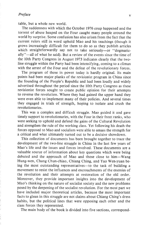#### Preface

table, but a whole new world.

The suddenness with which the October 1976 coup happened and the torrent of abuse heaped on the Four caught many people around the world by surprise. Some confusion has also arisen from the fact that the current rulers still in word uphold Mao and his teachings (though it grows increasingly difficult for them to do so as they publish articles which straightforwardly say not to take seriously-or "dogmatically"-all of what he said). But a review of the events since the time of the l0th Party Congress in August 1973 indicates clearly that the twoline struggle within the Party had been intensifying, coming to a climax with the arrest of the Four and the defeat of the revolutionary forces.

The program of those in power today is hardly original. Its main points had been major planks of the revisionist program in China since the founding of the People's Republic and had been loudly and widely advertised throughout the period since the lOth Party Congress as these revisionist forces sought to create public opinion for their attempts to reverse the revolution. Where they had gained the upper hand they were even able to implement many of their policies. And several times they engaged in trials of strength, hoping to isolate and crush the revolutionaries.

This was a complex and difficult struggle, Mao guided it and gave timely support to revolutionaries, with the Four in their front ranks, who were seeking to uphold and defend the gains of the Cultural Revolution and strengthen the rule of the working class. Yet following his death the forces opposed to Mao and socialism were able to amass the strength for a critical and what ultimately turned out to be a decisive showdown.

This collection of documents has been brought together to trace the development of the two-line struggle in China in the last few years of Mao's life and the issues and forces involved. These documents are a valuable source of information about key questions which were being debated and the approach of Mao and those close to him-Wang Hung-wen, Chang Chun-chiao, Chiang Ching, and Yao Wen-yuan being the most outstanding representatives—to the task of building a movement to resist the influences and encroachments of the enemies of the revolution and their attempts at restoration of the old order. Moreover, they provide important insights into the development of Mao's thinking on the nature of socialist society and the new problems posed by the deepening of the socialist revolution. For the most part we have included major theoretical articles, because the most important facts to glean in this struggle are not claims about Chiang Ching's dress habits, but the political lines that were opposing each other and the ciass forces they represented.

The main body of the book is divided into five sections, correspond-